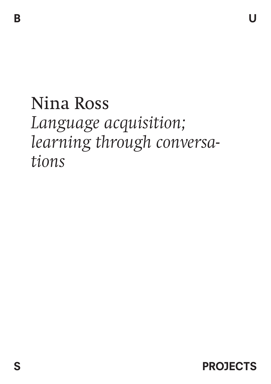## Nina Ross *Language acquisition; learning through conversations*

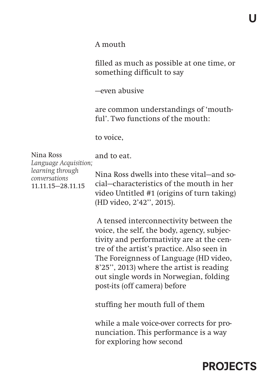## A mouth

filled as much as possible at one time, or something difficult to say

—even abusive

are common understandings of 'mouthful'. Two functions of the mouth:

to voice,

and to eat.

Nina Ross *Language Acquisition; learning through conversations* 11.11.15—28.11.15

Nina Ross dwells into these vital—and social—characteristics of the mouth in her video Untitled #1 (origins of turn taking) (HD video, 2'42'', 2015).

 A tensed interconnectivity between the voice, the self, the body, agency, subjectivity and performativity are at the centre of the artist's practice. Also seen in The Foreignness of Language (HD video, 8'25'', 2013) where the artist is reading out single words in Norwegian, folding post-its (off camera) before

stuffing her mouth full of them

while a male voice-over corrects for pronunciation. This performance is a way for exploring how second

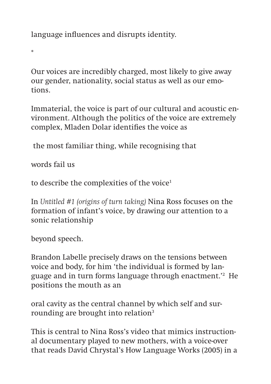language influences and disrupts identity.

\*

Our voices are incredibly charged, most likely to give away our gender, nationality, social status as well as our emotions.

Immaterial, the voice is part of our cultural and acoustic environment. Although the politics of the voice are extremely complex, Mladen Dolar identifies the voice as

the most familiar thing, while recognising that

words fail us

to describe the complexities of the voice<sup>1</sup>

In *Untitled #1 (origins of turn taking)* Nina Ross focuses on the formation of infant's voice, by drawing our attention to a sonic relationship

beyond speech.

Brandon Labelle precisely draws on the tensions between voice and body, for him 'the individual is formed by language and in turn forms language through enactment.'2 He positions the mouth as an

oral cavity as the central channel by which self and surrounding are brought into relation<sup>3</sup>

This is central to Nina Ross's video that mimics instructional documentary played to new mothers, with a voice-over that reads David Chrystal's How Language Works (2005) in a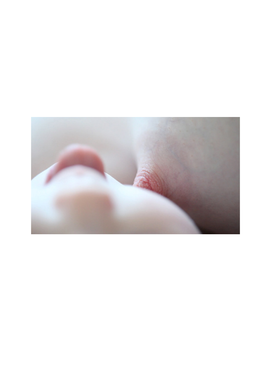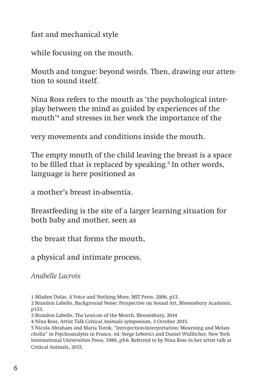fast and mechanical style

while focusing on the mouth.

Mouth and tongue: beyond words. Then, drawing our attention to sound itself.

Nina Ross refers to the mouth as 'the psychological interplay between the mind as guided by experiences of the mouth'4 and stresses in her work the importance of the

very movements and conditions inside the mouth.

The empty mouth of the child leaving the breast is a space to be filled that is replaced by speaking.<sup>5</sup> In other words, language is here positioned as

a mother's breast in-absentia.

Breastfeeding is the site of a larger learning situation for both baby and mother, seen as

the breast that forms the mouth,

a physical and intimate process.

*Anabelle Lacroix* 

2 Brandon Labelle, Background Noise: Perspective on Sound Art, Bloomsbury Academic, p133.

- 3 Brandon Labelle, The Lexicon of the Mouth, Bloomsbury, 2014
- 4 Nina Ross, Artist Talk Critical Animals symposium, 3 October 2015.

5 Nicola Abraham and Maria Torok, "Introjection-Interpretation: Mourning and Melancholia" in Psychoanalysis in France, ed. Serge Lebovici and Daniel Widlöcher, New York International Universities Press, 1980, p5-6. Referred to by Nina Ross in her artist talk at Critical Animals, 2015.

<sup>1</sup> Mladen Dolar, A Voice and Nothing More, MIT Press, 2006, p13.